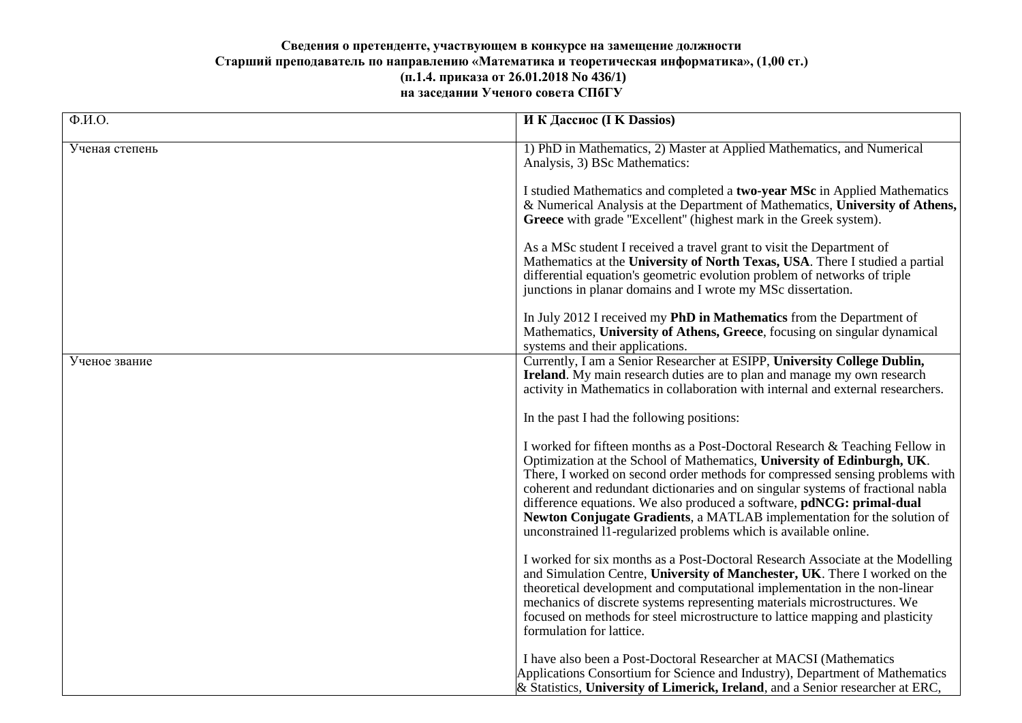## **Сведения о претенденте, участвующем в конкурсе на замещение должности Старший преподаватель по направлению «Математика и теоретическая информатика», (1,00 ст.) (п.1.4. приказа от 26.01.2018 No 436/1) на заседании Ученого совета СПбГУ**

| $\overline{\Phi.M.O.}$ | И К Дассиос (I K Dassios)                                                                                                                                                                                                                                                                                                                                                                                                                                                                                                                          |
|------------------------|----------------------------------------------------------------------------------------------------------------------------------------------------------------------------------------------------------------------------------------------------------------------------------------------------------------------------------------------------------------------------------------------------------------------------------------------------------------------------------------------------------------------------------------------------|
| Ученая степень         | 1) PhD in Mathematics, 2) Master at Applied Mathematics, and Numerical<br>Analysis, 3) BSc Mathematics:                                                                                                                                                                                                                                                                                                                                                                                                                                            |
|                        | I studied Mathematics and completed a two-year MSc in Applied Mathematics<br>& Numerical Analysis at the Department of Mathematics, University of Athens,<br>Greece with grade "Excellent" (highest mark in the Greek system).                                                                                                                                                                                                                                                                                                                     |
|                        | As a MSc student I received a travel grant to visit the Department of<br>Mathematics at the University of North Texas, USA. There I studied a partial<br>differential equation's geometric evolution problem of networks of triple<br>junctions in planar domains and I wrote my MSc dissertation.                                                                                                                                                                                                                                                 |
|                        | In July 2012 I received my <b>PhD in Mathematics</b> from the Department of<br>Mathematics, University of Athens, Greece, focusing on singular dynamical<br>systems and their applications.                                                                                                                                                                                                                                                                                                                                                        |
| Ученое звание          | Currently, I am a Senior Researcher at ESIPP, University College Dublin,<br>Ireland. My main research duties are to plan and manage my own research<br>activity in Mathematics in collaboration with internal and external researchers.                                                                                                                                                                                                                                                                                                            |
|                        | In the past I had the following positions:                                                                                                                                                                                                                                                                                                                                                                                                                                                                                                         |
|                        | I worked for fifteen months as a Post-Doctoral Research & Teaching Fellow in<br>Optimization at the School of Mathematics, University of Edinburgh, UK.<br>There, I worked on second order methods for compressed sensing problems with<br>coherent and redundant dictionaries and on singular systems of fractional nabla<br>difference equations. We also produced a software, pdNCG: primal-dual<br>Newton Conjugate Gradients, a MATLAB implementation for the solution of<br>unconstrained 11-regularized problems which is available online. |
|                        | I worked for six months as a Post-Doctoral Research Associate at the Modelling<br>and Simulation Centre, University of Manchester, UK. There I worked on the<br>theoretical development and computational implementation in the non-linear<br>mechanics of discrete systems representing materials microstructures. We<br>focused on methods for steel microstructure to lattice mapping and plasticity<br>formulation for lattice.                                                                                                                |
|                        | I have also been a Post-Doctoral Researcher at MACSI (Mathematics<br>Applications Consortium for Science and Industry), Department of Mathematics<br>& Statistics, University of Limerick, Ireland, and a Senior researcher at ERC,                                                                                                                                                                                                                                                                                                                |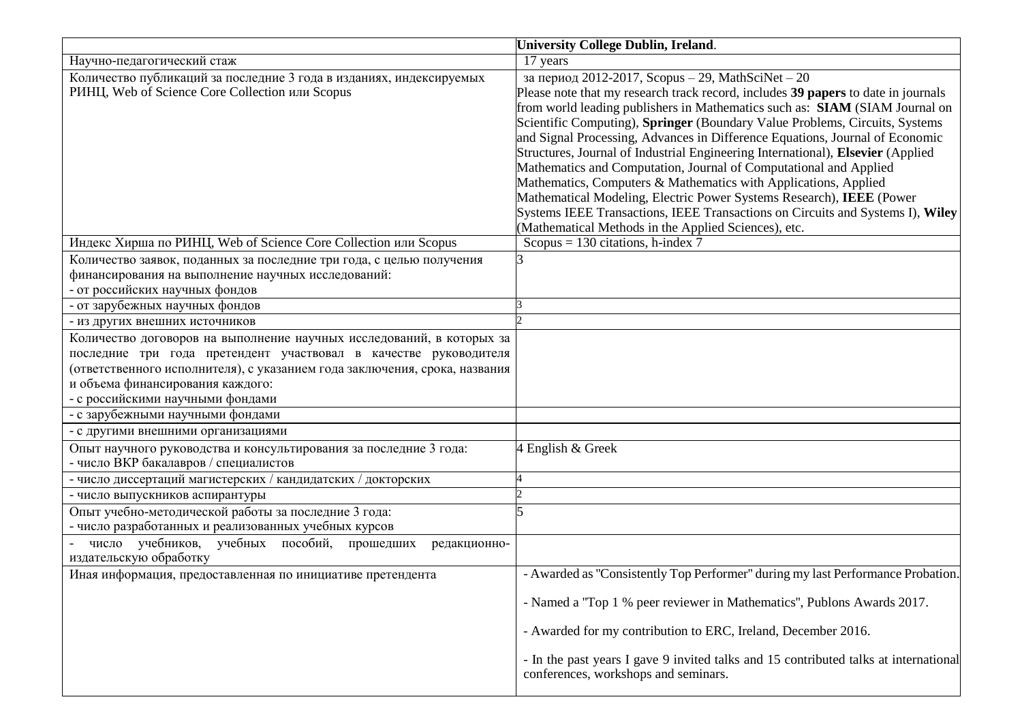|                                                                                                                                                                                                                                                                                                 | <b>University College Dublin, Ireland.</b>                                                                                                                                                                                                                                                                                                                                                                                                                                                                                                                                                                                                                                                                                                                                                                                        |
|-------------------------------------------------------------------------------------------------------------------------------------------------------------------------------------------------------------------------------------------------------------------------------------------------|-----------------------------------------------------------------------------------------------------------------------------------------------------------------------------------------------------------------------------------------------------------------------------------------------------------------------------------------------------------------------------------------------------------------------------------------------------------------------------------------------------------------------------------------------------------------------------------------------------------------------------------------------------------------------------------------------------------------------------------------------------------------------------------------------------------------------------------|
| Научно-педагогический стаж                                                                                                                                                                                                                                                                      | 17 years                                                                                                                                                                                                                                                                                                                                                                                                                                                                                                                                                                                                                                                                                                                                                                                                                          |
| Количество публикаций за последние 3 года в изданиях, индексируемых<br>РИНЦ, Web of Science Core Collection или Scopus                                                                                                                                                                          | за период 2012-2017, Scopus - 29, MathSciNet - 20<br>Please note that my research track record, includes 39 papers to date in journals<br>from world leading publishers in Mathematics such as: SIAM (SIAM Journal on<br>Scientific Computing), Springer (Boundary Value Problems, Circuits, Systems<br>and Signal Processing, Advances in Difference Equations, Journal of Economic<br>Structures, Journal of Industrial Engineering International), Elsevier (Applied<br>Mathematics and Computation, Journal of Computational and Applied<br>Mathematics, Computers & Mathematics with Applications, Applied<br>Mathematical Modeling, Electric Power Systems Research), IEEE (Power<br>Systems IEEE Transactions, IEEE Transactions on Circuits and Systems I), Wiley<br>(Mathematical Methods in the Applied Sciences), etc. |
| Индекс Хирша по РИНЦ, Web of Science Core Collection или Scopus                                                                                                                                                                                                                                 | Scopus = $130$ citations, h-index 7                                                                                                                                                                                                                                                                                                                                                                                                                                                                                                                                                                                                                                                                                                                                                                                               |
| Количество заявок, поданных за последние три года, с целью получения<br>финансирования на выполнение научных исследований:<br>- от российских научных фондов                                                                                                                                    | R                                                                                                                                                                                                                                                                                                                                                                                                                                                                                                                                                                                                                                                                                                                                                                                                                                 |
| - от зарубежных научных фондов                                                                                                                                                                                                                                                                  |                                                                                                                                                                                                                                                                                                                                                                                                                                                                                                                                                                                                                                                                                                                                                                                                                                   |
| - из других внешних источников                                                                                                                                                                                                                                                                  |                                                                                                                                                                                                                                                                                                                                                                                                                                                                                                                                                                                                                                                                                                                                                                                                                                   |
| Количество договоров на выполнение научных исследований, в которых за<br>последние три года претендент участвовал в качестве руководителя<br>(ответственного исполнителя), с указанием года заключения, срока, названия<br>и объема финансирования каждого:<br>- с российскими научными фондами |                                                                                                                                                                                                                                                                                                                                                                                                                                                                                                                                                                                                                                                                                                                                                                                                                                   |
| - с зарубежными научными фондами                                                                                                                                                                                                                                                                |                                                                                                                                                                                                                                                                                                                                                                                                                                                                                                                                                                                                                                                                                                                                                                                                                                   |
| - с другими внешними организациями                                                                                                                                                                                                                                                              |                                                                                                                                                                                                                                                                                                                                                                                                                                                                                                                                                                                                                                                                                                                                                                                                                                   |
| Опыт научного руководства и консультирования за последние 3 года:<br>- число ВКР бакалавров / специалистов                                                                                                                                                                                      | 4 English & Greek                                                                                                                                                                                                                                                                                                                                                                                                                                                                                                                                                                                                                                                                                                                                                                                                                 |
| - число диссертаций магистерских / кандидатских / докторских                                                                                                                                                                                                                                    |                                                                                                                                                                                                                                                                                                                                                                                                                                                                                                                                                                                                                                                                                                                                                                                                                                   |
| - число выпускников аспирантуры                                                                                                                                                                                                                                                                 |                                                                                                                                                                                                                                                                                                                                                                                                                                                                                                                                                                                                                                                                                                                                                                                                                                   |
| Опыт учебно-методической работы за последние 3 года:<br>- число разработанных и реализованных учебных курсов<br>число учебников, учебных пособий, прошедших<br>редакционно-                                                                                                                     |                                                                                                                                                                                                                                                                                                                                                                                                                                                                                                                                                                                                                                                                                                                                                                                                                                   |
| издательскую обработку                                                                                                                                                                                                                                                                          |                                                                                                                                                                                                                                                                                                                                                                                                                                                                                                                                                                                                                                                                                                                                                                                                                                   |
| Иная информация, предоставленная по инициативе претендента                                                                                                                                                                                                                                      | - Awarded as "Consistently Top Performer" during my last Performance Probation.<br>- Named a "Top 1 % peer reviewer in Mathematics", Publons Awards 2017.                                                                                                                                                                                                                                                                                                                                                                                                                                                                                                                                                                                                                                                                         |
|                                                                                                                                                                                                                                                                                                 | - Awarded for my contribution to ERC, Ireland, December 2016.                                                                                                                                                                                                                                                                                                                                                                                                                                                                                                                                                                                                                                                                                                                                                                     |
|                                                                                                                                                                                                                                                                                                 | - In the past years I gave 9 invited talks and 15 contributed talks at international<br>conferences, workshops and seminars.                                                                                                                                                                                                                                                                                                                                                                                                                                                                                                                                                                                                                                                                                                      |